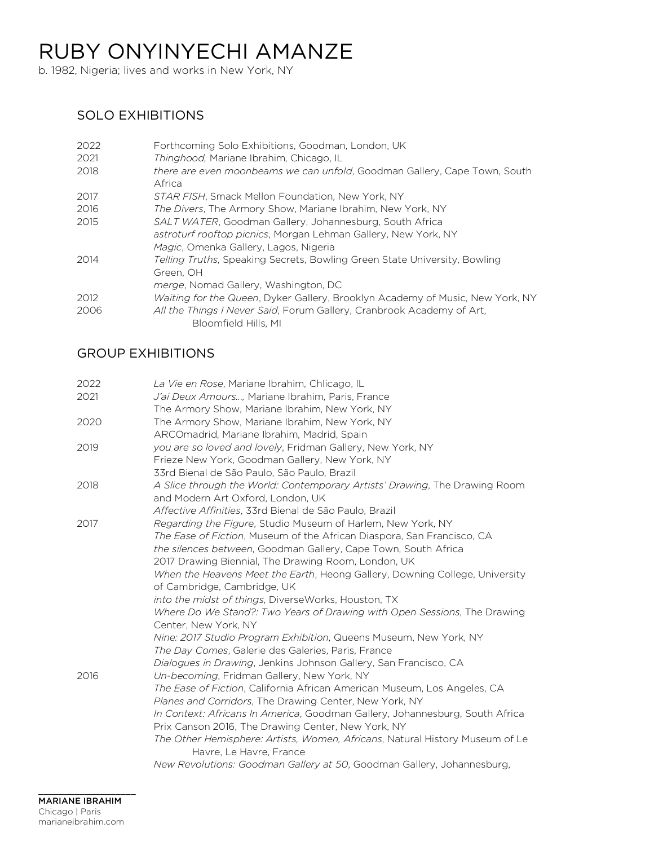b. 1982, Nigeria; lives and works in New York, NY

# SOLO EXHIBITIONS

| 2022 | Forthcoming Solo Exhibitions, Goodman, London, UK                                                                                                                  |
|------|--------------------------------------------------------------------------------------------------------------------------------------------------------------------|
| 2021 | Thinghood, Mariane Ibrahim, Chicago, IL                                                                                                                            |
| 2018 | there are even moonbeams we can unfold, Goodman Gallery, Cape Town, South<br>Africa                                                                                |
| 2017 | STAR FISH, Smack Mellon Foundation, New York, NY                                                                                                                   |
| 2016 | The Divers, The Armory Show, Mariane Ibrahim, New York, NY                                                                                                         |
| 2015 | SALT WATER, Goodman Gallery, Johannesburg, South Africa<br>astroturf rooftop picnics, Morgan Lehman Gallery, New York, NY<br>Magic, Omenka Gallery, Lagos, Nigeria |
| 2014 | Telling Truths, Speaking Secrets, Bowling Green State University, Bowling<br>Green. OH<br><i>merge</i> , Nomad Gallery, Washington, DC                             |
| 2012 | Waiting for the Queen, Dyker Gallery, Brooklyn Academy of Music, New York, NY                                                                                      |
| 2006 | All the Things I Never Said, Forum Gallery, Cranbrook Academy of Art.<br>Bloomfield Hills, MI                                                                      |

## GROUP EXHIBITIONS

| 2022 | La Vie en Rose, Mariane Ibrahim, Chlicago, IL                                                                                      |
|------|------------------------------------------------------------------------------------------------------------------------------------|
| 2021 | J'ai Deux Amours, Mariane Ibrahim, Paris, France                                                                                   |
|      | The Armory Show, Mariane Ibrahim, New York, NY                                                                                     |
| 2020 | The Armory Show, Mariane Ibrahim, New York, NY                                                                                     |
|      | ARCOmadrid, Mariane Ibrahim, Madrid, Spain                                                                                         |
| 2019 | you are so loved and lovely, Fridman Gallery, New York, NY                                                                         |
|      | Frieze New York, Goodman Gallery, New York, NY                                                                                     |
|      | 33rd Bienal de São Paulo, São Paulo, Brazil                                                                                        |
| 2018 | A Slice through the World: Contemporary Artists' Drawing, The Drawing Room<br>and Modern Art Oxford, London, UK                    |
|      | Affective Affinities, 33rd Bienal de São Paulo, Brazil                                                                             |
| 2017 | <i>Regarding the Figure, Studio Museum of Harlem, New York, NY</i>                                                                 |
|      | The Ease of Fiction, Museum of the African Diaspora, San Francisco, CA                                                             |
|      | the silences between, Goodman Gallery, Cape Town, South Africa                                                                     |
|      | 2017 Drawing Biennial, The Drawing Room, London, UK                                                                                |
|      | When the Heavens Meet the Earth, Heong Gallery, Downing College, University                                                        |
|      | of Cambridge, Cambridge, UK                                                                                                        |
|      | into the midst of things, DiverseWorks, Houston, TX                                                                                |
|      | Where Do We Stand?: Two Years of Drawing with Open Sessions, The Drawing                                                           |
|      | Center, New York, NY                                                                                                               |
|      | Nine: 2017 Studio Program Exhibition, Queens Museum, New York, NY<br>The Day Comes, Galerie des Galeries, Paris, France            |
|      |                                                                                                                                    |
| 2016 | Dialogues in Drawing, Jenkins Johnson Gallery, San Francisco, CA                                                                   |
|      | Un-becoming, Fridman Gallery, New York, NY                                                                                         |
|      | The Ease of Fiction, California African American Museum, Los Angeles, CA                                                           |
|      | Planes and Corridors, The Drawing Center, New York, NY                                                                             |
|      | In Context: Africans In America, Goodman Gallery, Johannesburg, South Africa<br>Prix Canson 2016, The Drawing Center, New York, NY |
|      |                                                                                                                                    |
|      | The Other Hemisphere: Artists, Women, Africans, Natural History Museum of Le<br>Havre, Le Havre, France                            |
|      | New Revolutions: Goodman Gallery at 50, Goodman Gallery, Johannesburg,                                                             |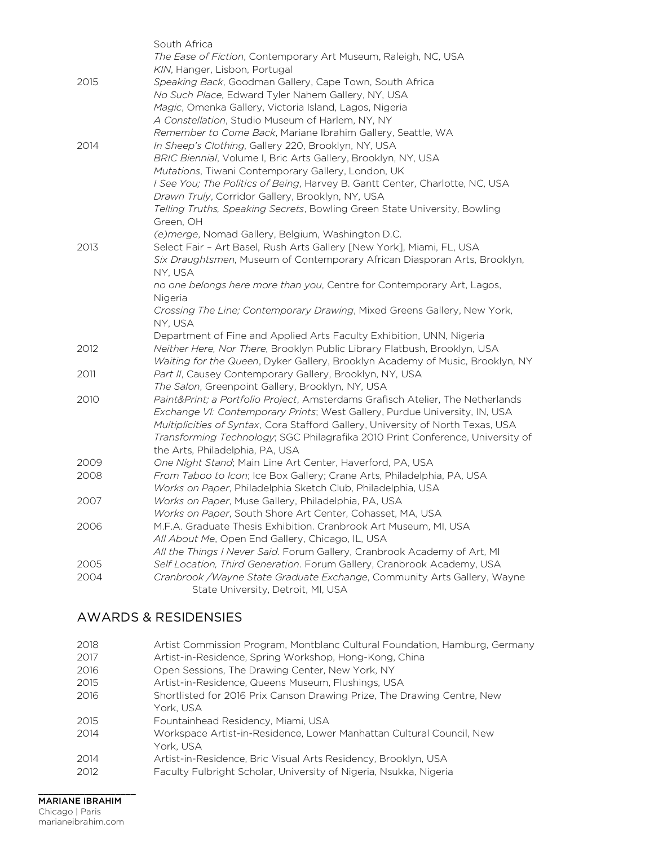|      | South Africa                                                                                                                          |
|------|---------------------------------------------------------------------------------------------------------------------------------------|
|      | <i>The Ease of Fiction, Contemporary Art Museum, Raleigh, NC, USA</i>                                                                 |
|      | KIN, Hanger, Lisbon, Portugal                                                                                                         |
| 2015 | Speaking Back, Goodman Gallery, Cape Town, South Africa                                                                               |
|      | No Such Place, Edward Tyler Nahem Gallery, NY, USA                                                                                    |
|      | Magic, Omenka Gallery, Victoria Island, Lagos, Nigeria                                                                                |
|      | A Constellation, Studio Museum of Harlem, NY, NY                                                                                      |
|      | Remember to Come Back, Mariane Ibrahim Gallery, Seattle, WA                                                                           |
| 2014 | In Sheep's Clothing, Gallery 220, Brooklyn, NY, USA                                                                                   |
|      | BRIC Biennial, Volume I, Bric Arts Gallery, Brooklyn, NY, USA                                                                         |
|      | Mutations, Tiwani Contemporary Gallery, London, UK                                                                                    |
|      | I See You; The Politics of Being, Harvey B. Gantt Center, Charlotte, NC, USA                                                          |
|      | Drawn Truly, Corridor Gallery, Brooklyn, NY, USA                                                                                      |
|      | Telling Truths, Speaking Secrets, Bowling Green State University, Bowling                                                             |
|      | Green, OH                                                                                                                             |
|      | (e) merge, Nomad Gallery, Belgium, Washington D.C.                                                                                    |
| 2013 | Select Fair - Art Basel, Rush Arts Gallery [New York], Miami, FL, USA                                                                 |
|      | Six Draughtsmen, Museum of Contemporary African Diasporan Arts, Brooklyn,                                                             |
|      | NY, USA                                                                                                                               |
|      | no one belongs here more than you, Centre for Contemporary Art, Lagos,                                                                |
|      | Nigeria                                                                                                                               |
|      | Crossing The Line; Contemporary Drawing, Mixed Greens Gallery, New York,                                                              |
|      | NY, USA                                                                                                                               |
|      | Department of Fine and Applied Arts Faculty Exhibition, UNN, Nigeria                                                                  |
| 2012 | Neither Here, Nor There, Brooklyn Public Library Flatbush, Brooklyn, USA                                                              |
|      | Waiting for the Queen, Dyker Gallery, Brooklyn Academy of Music, Brooklyn, NY                                                         |
| 2011 | Part II, Causey Contemporary Gallery, Brooklyn, NY, USA                                                                               |
|      | The Salon, Greenpoint Gallery, Brooklyn, NY, USA                                                                                      |
| 2010 | Paint&Print a Portfolio Project, Amsterdams Grafisch Atelier, The Netherlands                                                         |
|      | Exchange VI: Contemporary Prints; West Gallery, Purdue University, IN, USA                                                            |
|      | Multiplicities of Syntax, Cora Stafford Gallery, University of North Texas, USA                                                       |
|      | Transforming Technology; SGC Philagrafika 2010 Print Conference, University of                                                        |
|      | the Arts, Philadelphia, PA, USA                                                                                                       |
| 2009 | One Night Stand; Main Line Art Center, Haverford, PA, USA                                                                             |
| 2008 | From Taboo to Icon; Ice Box Gallery; Crane Arts, Philadelphia, PA, USA<br>Works on Paper, Philadelphia Sketch Club, Philadelphia, USA |
|      | Works on Paper, Muse Gallery, Philadelphia, PA, USA                                                                                   |
| 2007 | Works on Paper, South Shore Art Center, Cohasset, MA, USA                                                                             |
| 2006 | M.F.A. Graduate Thesis Exhibition. Cranbrook Art Museum, MI, USA                                                                      |
|      | All About Me, Open End Gallery, Chicago, IL, USA                                                                                      |
|      | All the Things I Never Said. Forum Gallery, Cranbrook Academy of Art, MI                                                              |
| 2005 | Self Location, Third Generation. Forum Gallery, Cranbrook Academy, USA                                                                |
| 2004 | Cranbrook /Wayne State Graduate Exchange, Community Arts Gallery, Wayne                                                               |
|      | State University, Detroit, MI, USA                                                                                                    |
|      |                                                                                                                                       |

### AWARDS & RESIDENSIES

| 2018 | Artist Commission Program, Montblanc Cultural Foundation, Hamburg, Germany |
|------|----------------------------------------------------------------------------|
| 2017 | Artist-in-Residence, Spring Workshop, Hong-Kong, China                     |
| 2016 | Open Sessions, The Drawing Center, New York, NY                            |
| 2015 | Artist-in-Residence, Queens Museum, Flushings, USA                         |
| 2016 | Shortlisted for 2016 Prix Canson Drawing Prize, The Drawing Centre, New    |
|      | York, USA                                                                  |
| 2015 | Fountainhead Residency, Miami, USA                                         |
| 2014 | Workspace Artist-in-Residence, Lower Manhattan Cultural Council, New       |
|      | York. USA                                                                  |
| 2014 | Artist-in-Residence, Bric Visual Arts Residency, Brooklyn, USA             |
| 2012 | Faculty Fulbright Scholar, University of Nigeria, Nsukka, Nigeria          |
|      |                                                                            |